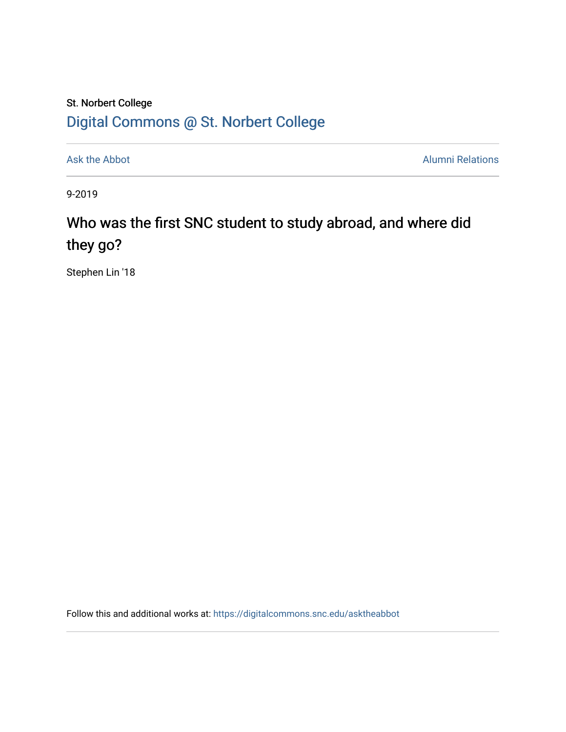## St. Norbert College [Digital Commons @ St. Norbert College](https://digitalcommons.snc.edu/)

[Ask the Abbot](https://digitalcommons.snc.edu/asktheabbot) **Alumni Relations** Alumni Relations

9-2019

## Who was the first SNC student to study abroad, and where did they go?

Stephen Lin '18

Follow this and additional works at: [https://digitalcommons.snc.edu/asktheabbot](https://digitalcommons.snc.edu/asktheabbot?utm_source=digitalcommons.snc.edu%2Fasktheabbot%2F162&utm_medium=PDF&utm_campaign=PDFCoverPages)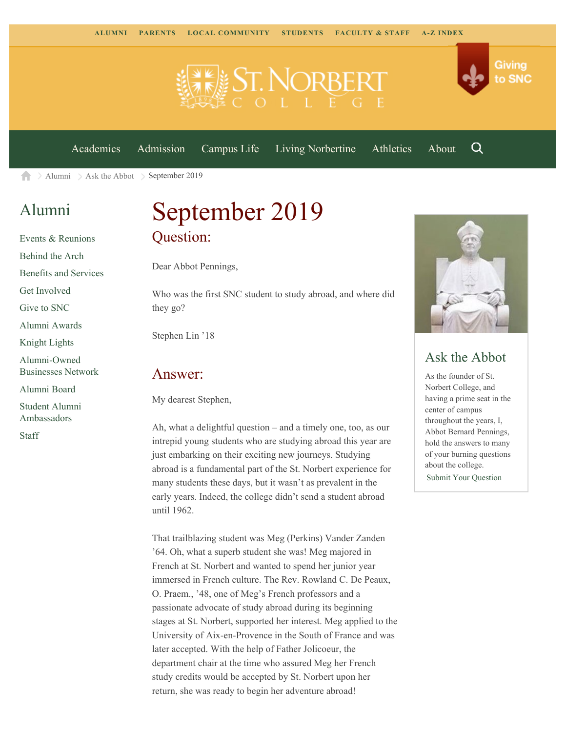

[Academics](https://www.snc.edu/academics) [Admission](https://www.snc.edu/admission) [Campus Life](https://www.snc.edu/campuslife) [Living Norbertine](https://www.snc.edu/livingnorbertine) [Athletics](https://www.snc.edu/athletics) [About](https://www.snc.edu/about)

Q

Giving

to SNC

[Alumni](https://www.snc.edu/alumni/) [Ask the Abbot](https://www.snc.edu/alumni/abbot/) September 2019 合

### [Alumni](https://www.snc.edu/alumni/index.html)

[Events & Reunions](https://www.snc.edu/alumni/event/index.html) [Behind the Arch](https://www.snc.edu/alumni/event/behindthearch/) [Benefits and Services](https://www.snc.edu/alumni/benefits.html) [Get Involved](https://www.snc.edu/alumni/getinvolved.html) [Give to SNC](http://giving.snc.edu/) [Alumni Awards](https://www.snc.edu/alumni/awards/index.html) [Knight Lights](https://www.snc.edu/alumni/knightlights/index.html) [Alumni-Owned](https://www.snc.edu/alumni/directory/index.html) [Businesses Network](https://www.snc.edu/alumni/directory/index.html) [Alumni Board](https://www.snc.edu/alumni/alumniboard.html) [Student Alumni](https://www.snc.edu/alumni/saa.html) [Ambassadors](https://www.snc.edu/alumni/saa.html) [Staff](https://www.snc.edu/alumni/contactus.html)

# September 2019 Question:

Dear Abbot Pennings,

Who was the first SNC student to study abroad, and where did they go?

Stephen Lin '18

#### Answer:

My dearest Stephen,

Ah, what a delightful question – and a timely one, too, as our intrepid young students who are studying abroad this year are just embarking on their exciting new journeys. Studying abroad is a fundamental part of the St. Norbert experience for many students these days, but it wasn't as prevalent in the early years. Indeed, the college didn't send a student abroad until 1962.

That trailblazing student was Meg (Perkins) Vander Zanden '64. Oh, what a superb student she was! Meg majored in French at St. Norbert and wanted to spend her junior year immersed in French culture. The Rev. Rowland C. De Peaux, O. Praem., '48, one of Meg's French professors and a passionate advocate of study abroad during its beginning stages at St. Norbert, supported her interest. Meg applied to the University of Aix-en-Provence in the South of France and was later accepted. With the help of Father Jolicoeur, the department chair at the time who assured Meg her French study credits would be accepted by St. Norbert upon her return, she was ready to begin her adventure abroad!



#### Ask the Abbot

As the founder of St. Norbert College, and having a prime seat in the center of campus throughout the years, I, Abbot Bernard Pennings, hold the answers to many of your burning questions about the college. [Submit Your Question](https://www.snc.edu/alumni/abbot/index.html)